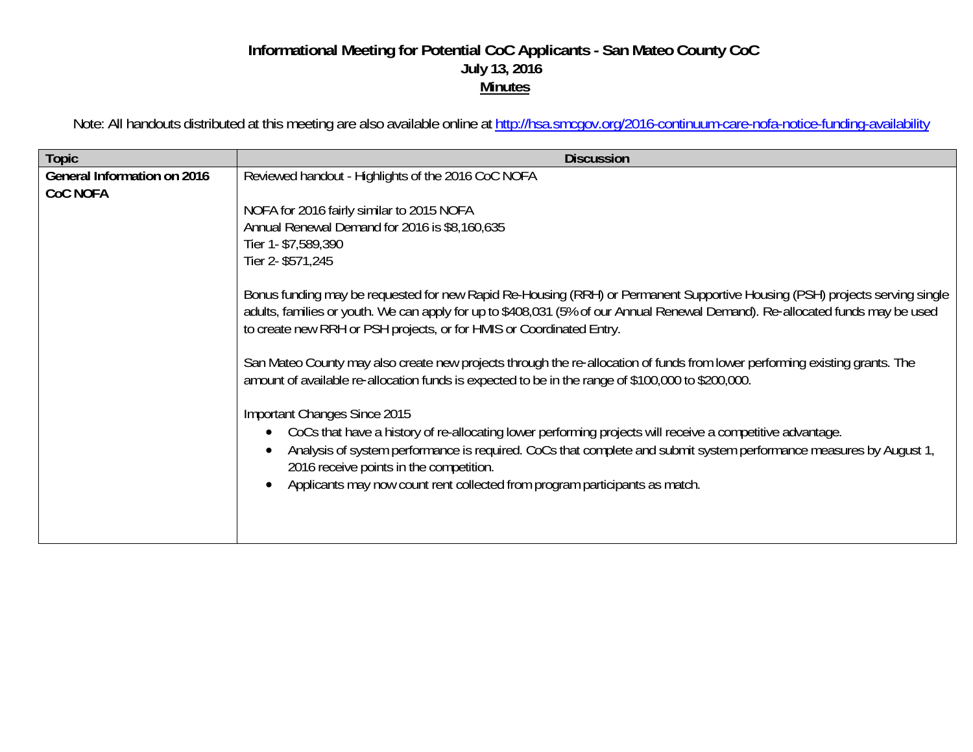## **Informational Meeting for Potential CoC Applicants - San Mateo County CoC July 13, 2016 Minutes**

Note: All handouts distributed at this meeting are also available online at http://hsa.smcgov.org/2016-continuum-care-nofa-notice-funding-availability

| <b>Discussion</b>                                                                                                                                                                                                                                                                                                                                                                                                                                                                                                                                                                                                                          |
|--------------------------------------------------------------------------------------------------------------------------------------------------------------------------------------------------------------------------------------------------------------------------------------------------------------------------------------------------------------------------------------------------------------------------------------------------------------------------------------------------------------------------------------------------------------------------------------------------------------------------------------------|
| Reviewed handout - Highlights of the 2016 CoC NOFA<br>NOFA for 2016 fairly similar to 2015 NOFA<br>Annual Renewal Demand for 2016 is \$8,160,635<br>Tier 1- \$7,589,390<br>Tier 2- \$571,245<br>Bonus funding may be requested for new Rapid Re-Housing (RRH) or Permanent Supportive Housing (PSH) projects serving single<br>adults, families or youth. We can apply for up to \$408,031 (5% of our Annual Renewal Demand). Re-allocated funds may be used<br>to create new RRH or PSH projects, or for HMIS or Coordinated Entry.                                                                                                       |
| San Mateo County may also create new projects through the re-allocation of funds from lower performing existing grants. The<br>amount of available re-allocation funds is expected to be in the range of \$100,000 to \$200,000.<br>Important Changes Since 2015<br>CoCs that have a history of re-allocating lower performing projects will receive a competitive advantage.<br>Analysis of system performance is required. CoCs that complete and submit system performance measures by August 1,<br>2016 receive points in the competition.<br>Applicants may now count rent collected from program participants as match.<br>$\bullet$ |
|                                                                                                                                                                                                                                                                                                                                                                                                                                                                                                                                                                                                                                            |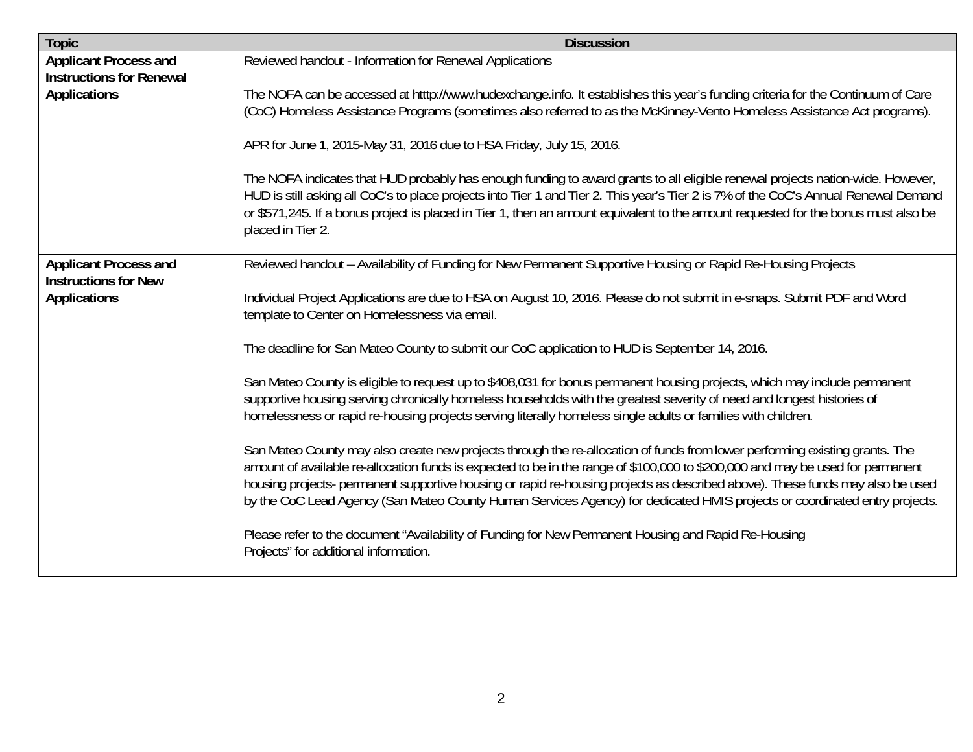| <b>Topic</b>                                                    | <b>Discussion</b>                                                                                                                                                                                                                                                                                                                                                                                                                                                                                                            |
|-----------------------------------------------------------------|------------------------------------------------------------------------------------------------------------------------------------------------------------------------------------------------------------------------------------------------------------------------------------------------------------------------------------------------------------------------------------------------------------------------------------------------------------------------------------------------------------------------------|
| <b>Applicant Process and</b><br><b>Instructions for Renewal</b> | Reviewed handout - Information for Renewal Applications                                                                                                                                                                                                                                                                                                                                                                                                                                                                      |
| <b>Applications</b>                                             | The NOFA can be accessed at htttp://www.hudexchange.info. It establishes this year's funding criteria for the Continuum of Care<br>(CoC) Homeless Assistance Programs (sometimes also referred to as the McKinney-Vento Homeless Assistance Act programs).                                                                                                                                                                                                                                                                   |
|                                                                 | APR for June 1, 2015-May 31, 2016 due to HSA Friday, July 15, 2016.                                                                                                                                                                                                                                                                                                                                                                                                                                                          |
|                                                                 | The NOFA indicates that HUD probably has enough funding to award grants to all eligible renewal projects nation-wide. However,<br>HUD is still asking all CoC's to place projects into Tier 1 and Tier 2. This year's Tier 2 is 7% of the CoC's Annual Renewal Demand<br>or \$571,245. If a bonus project is placed in Tier 1, then an amount equivalent to the amount requested for the bonus must also be<br>placed in Tier 2.                                                                                             |
| <b>Applicant Process and</b>                                    | Reviewed handout - Availability of Funding for New Permanent Supportive Housing or Rapid Re-Housing Projects                                                                                                                                                                                                                                                                                                                                                                                                                 |
| <b>Instructions for New</b><br><b>Applications</b>              | Individual Project Applications are due to HSA on August 10, 2016. Please do not submit in e-snaps. Submit PDF and Word<br>template to Center on Homelessness via email.                                                                                                                                                                                                                                                                                                                                                     |
|                                                                 | The deadline for San Mateo County to submit our CoC application to HUD is September 14, 2016.                                                                                                                                                                                                                                                                                                                                                                                                                                |
|                                                                 | San Mateo County is eligible to request up to \$408,031 for bonus permanent housing projects, which may include permanent<br>supportive housing serving chronically homeless households with the greatest severity of need and longest histories of<br>homelessness or rapid re-housing projects serving literally homeless single adults or families with children.                                                                                                                                                         |
|                                                                 | San Mateo County may also create new projects through the re-allocation of funds from lower performing existing grants. The<br>amount of available re-allocation funds is expected to be in the range of \$100,000 to \$200,000 and may be used for permanent<br>housing projects- permanent supportive housing or rapid re-housing projects as described above). These funds may also be used<br>by the CoC Lead Agency (San Mateo County Human Services Agency) for dedicated HMIS projects or coordinated entry projects. |
|                                                                 | Please refer to the document "Availability of Funding for New Permanent Housing and Rapid Re-Housing<br>Projects" for additional information.                                                                                                                                                                                                                                                                                                                                                                                |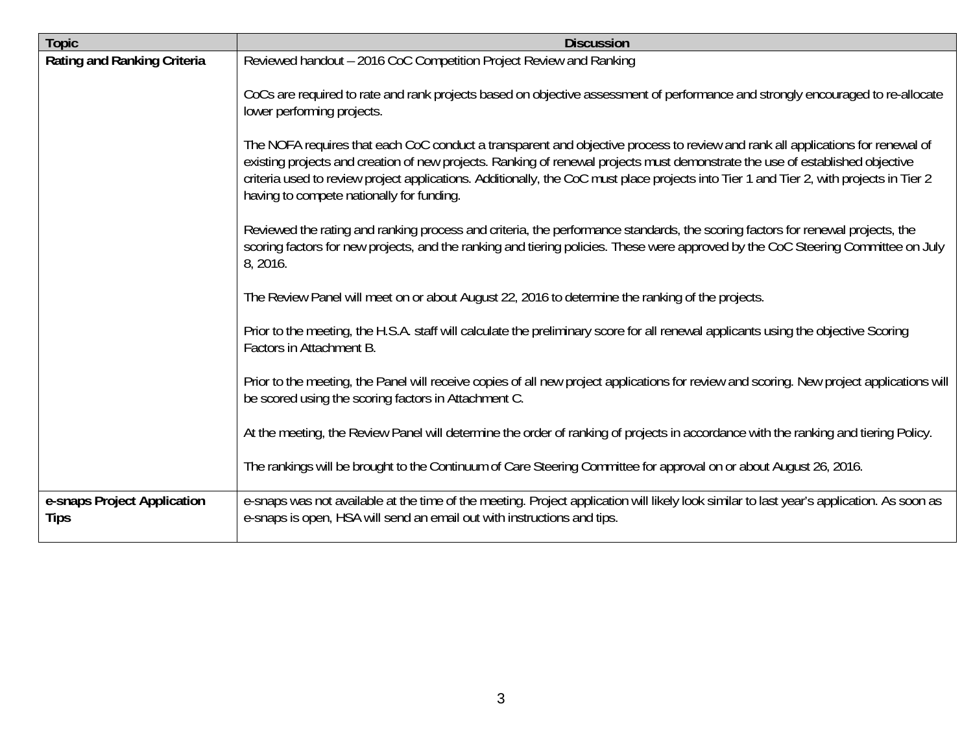| <b>Topic</b>                               | <b>Discussion</b>                                                                                                                                                                                                                                                                                                                                                                                                                                       |
|--------------------------------------------|---------------------------------------------------------------------------------------------------------------------------------------------------------------------------------------------------------------------------------------------------------------------------------------------------------------------------------------------------------------------------------------------------------------------------------------------------------|
| <b>Rating and Ranking Criteria</b>         | Reviewed handout - 2016 CoC Competition Project Review and Ranking                                                                                                                                                                                                                                                                                                                                                                                      |
|                                            | CoCs are required to rate and rank projects based on objective assessment of performance and strongly encouraged to re-allocate<br>lower performing projects.                                                                                                                                                                                                                                                                                           |
|                                            | The NOFA requires that each CoC conduct a transparent and objective process to review and rank all applications for renewal of<br>existing projects and creation of new projects. Ranking of renewal projects must demonstrate the use of established objective<br>criteria used to review project applications. Additionally, the CoC must place projects into Tier 1 and Tier 2, with projects in Tier 2<br>having to compete nationally for funding. |
|                                            | Reviewed the rating and ranking process and criteria, the performance standards, the scoring factors for renewal projects, the<br>scoring factors for new projects, and the ranking and tiering policies. These were approved by the CoC Steering Committee on July<br>8, 2016.                                                                                                                                                                         |
|                                            | The Review Panel will meet on or about August 22, 2016 to determine the ranking of the projects.                                                                                                                                                                                                                                                                                                                                                        |
|                                            | Prior to the meeting, the H.S.A. staff will calculate the preliminary score for all renewal applicants using the objective Scoring<br>Factors in Attachment B.                                                                                                                                                                                                                                                                                          |
|                                            | Prior to the meeting, the Panel will receive copies of all new project applications for review and scoring. New project applications will<br>be scored using the scoring factors in Attachment C.                                                                                                                                                                                                                                                       |
|                                            | At the meeting, the Review Panel will determine the order of ranking of projects in accordance with the ranking and tiering Policy.                                                                                                                                                                                                                                                                                                                     |
|                                            | The rankings will be brought to the Continuum of Care Steering Committee for approval on or about August 26, 2016.                                                                                                                                                                                                                                                                                                                                      |
| e-snaps Project Application<br><b>Tips</b> | e-snaps was not available at the time of the meeting. Project application will likely look similar to last year's application. As soon as<br>e-snaps is open, HSA will send an email out with instructions and tips.                                                                                                                                                                                                                                    |